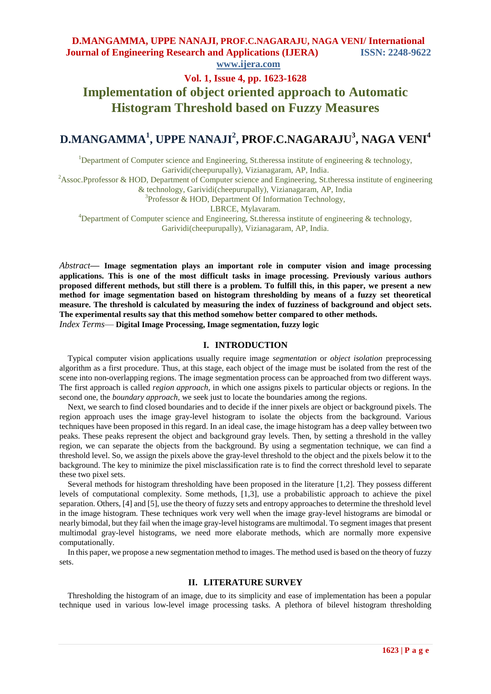# **Vol. 1, Issue 4, pp. 1623-1628 Implementation of object oriented approach to Automatic Histogram Threshold based on Fuzzy Measures**

# **D.MANGAMMA<sup>1</sup> , UPPE NANAJI<sup>2</sup> , PROF.C.NAGARAJU<sup>3</sup> , NAGA VENI<sup>4</sup>**

<sup>1</sup>Department of Computer science and Engineering, St.theressa institute of engineering  $\&$  technology, Garividi(cheepurupally), Vizianagaram, AP, India.

<sup>2</sup>Assoc.Pprofessor & HOD, Department of Computer science and Engineering, St.theressa institute of engineering

& technology, Garividi(cheepurupally), Vizianagaram, AP, India

<sup>3</sup>Professor & HOD, Department Of Information Technology,

LBRCE, Mylavaram.

<sup>4</sup>Department of Computer science and Engineering, St.theressa institute of engineering  $\&$  technology, Garividi(cheepurupally), Vizianagaram, AP, India.

*Abstract***— Image segmentation plays an important role in computer vision and image processing applications. This is one of the most difficult tasks in image processing. Previously various authors proposed different methods, but still there is a problem. To fulfill this, in this paper, we present a new method for image segmentation based on histogram thresholding by means of a fuzzy set theoretical measure. The threshold is calculated by measuring the index of fuzziness of background and object sets. The experimental results say that this method somehow better compared to other methods.** *Index Terms*— **Digital Image Processing, Image segmentation, fuzzy logic**

#### **I. INTRODUCTION**

Typical computer vision applications usually require image *segmentation* or *object isolation* preprocessing algorithm as a first procedure. Thus, at this stage, each object of the image must be isolated from the rest of the scene into non-overlapping regions. The image segmentation process can be approached from two different ways. The first approach is called *region approach,* in which one assigns pixels to particular objects or regions. In the second one, the *boundary approach,* we seek just to locate the boundaries among the regions.

Next, we search to find closed boundaries and to decide if the inner pixels are object or background pixels. The region approach uses the image gray-level histogram to isolate the objects from the background. Various techniques have been proposed in this regard. In an ideal case, the image histogram has a deep valley between two peaks. These peaks represent the object and background gray levels. Then, by setting a threshold in the valley region, we can separate the objects from the background. By using a segmentation technique, we can find a threshold level. So, we assign the pixels above the gray-level threshold to the object and the pixels below it to the background. The key to minimize the pixel misclassification rate is to find the correct threshold level to separate these two pixel sets.

Several methods for histogram thresholding have been proposed in the literature [1,2]. They possess different levels of computational complexity. Some methods, [1,3], use a probabilistic approach to achieve the pixel separation. Others, [4] and [5], use the theory of fuzzy sets and entropy approaches to determine the threshold level in the image histogram. These techniques work very well when the image gray-level histograms are bimodal or nearly bimodal, but they fail when the image gray-level histograms are multimodal. To segment images that present multimodal gray-level histograms, we need more elaborate methods, which are normally more expensive computationally.

In this paper, we propose a new segmentation method to images. The method used is based on the theory of fuzzy sets.

### **II. LITERATURE SURVEY**

Thresholding the histogram of an image, due to its simplicity and ease of implementation has been a popular technique used in various low-level image processing tasks. A plethora of bilevel histogram thresholding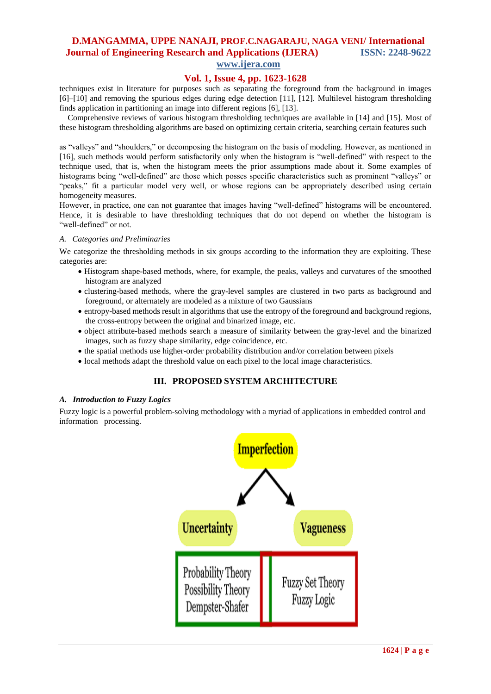# **www.ijera.com**

### **Vol. 1, Issue 4, pp. 1623-1628**

techniques exist in literature for purposes such as separating the foreground from the background in images [6]–[10] and removing the spurious edges during edge detection [11], [12]. Multilevel histogram thresholding finds application in partitioning an image into different regions [6], [13].

Comprehensive reviews of various histogram thresholding techniques are available in [14] and [15]. Most of these histogram thresholding algorithms are based on optimizing certain criteria, searching certain features such

as "valleys" and "shoulders," or decomposing the histogram on the basis of modeling. However, as mentioned in [16], such methods would perform satisfactorily only when the histogram is "well-defined" with respect to the technique used, that is, when the histogram meets the prior assumptions made about it. Some examples of histograms being "well-defined" are those which posses specific characteristics such as prominent "valleys" or "peaks," fit a particular model very well, or whose regions can be appropriately described using certain homogeneity measures.

However, in practice, one can not guarantee that images having "well-defined" histograms will be encountered. Hence, it is desirable to have thresholding techniques that do not depend on whether the histogram is "well-defined" or not.

### *A. Categories and Preliminaries*

We categorize the thresholding methods in six groups according to the information they are exploiting. These categories are:

- Histogram shape-based methods, where, for example, the peaks, valleys and curvatures of the smoothed histogram are analyzed
- clustering-based methods, where the gray-level samples are clustered in two parts as background and foreground, or alternately are modeled as a mixture of two Gaussians
- entropy-based methods result in algorithms that use the entropy of the foreground and background regions, the cross-entropy between the original and binarized image, etc.
- object attribute-based methods search a measure of similarity between the gray-level and the binarized images, such as fuzzy shape similarity, edge coincidence, etc.
- the spatial methods use higher-order probability distribution and/or correlation between pixels
- local methods adapt the threshold value on each pixel to the local image characteristics.

### **III. PROPOSED SYSTEM ARCHITECTURE**

#### *A. Introduction to Fuzzy Logics*

Fuzzy logic is a powerful problem-solving methodology with a myriad of applications in embedded control and information processing.

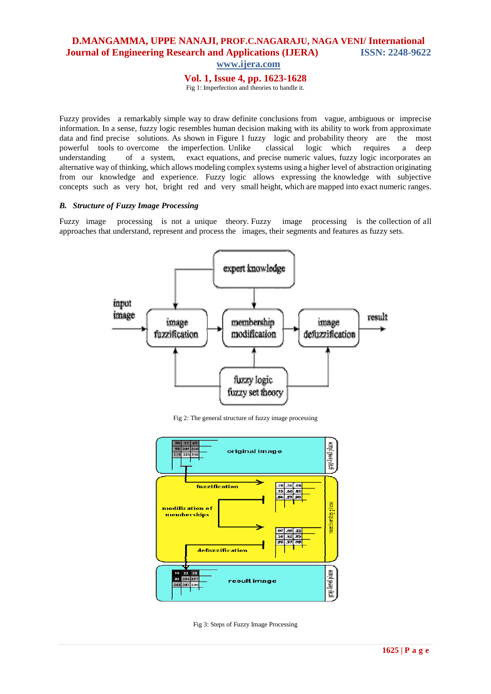**www.ijera.com**

**Vol. 1, Issue 4, pp. 1623-1628**

Fig 1: Imperfection and theories to handle it.

Fuzzy provides a remarkably simple way to draw definite conclusions from vague, ambiguous or imprecise information. In a sense, fuzzy logic resembles human decision making with its ability to work from approximate data and find precise solutions. As shown in Figure 1 fuzzy logic and probability theory are the most powerful tools to overcome the imperfection. Unlike classical logic which requires a deep understanding of a system, exact equations, and precise numeric values, fuzzy logic incorporates an alternative way of thinking, which allows modeling complex systems using a higher level of abstraction originating from our knowledge and experience. Fuzzy logic allows expressing the knowledge with subjective concepts such as very hot, bright red and very small height, which are mapped into exact numeric ranges.

### *B. Structure of Fuzzy Image Processing*

Fuzzy image processing is not a unique theory. Fuzzy image processing is the collection of all approaches that understand, represent and process the images, their segments and features as fuzzy sets.



Fig 2: The general structure of fuzzy image processing



Fig 3: Steps of Fuzzy Image Processing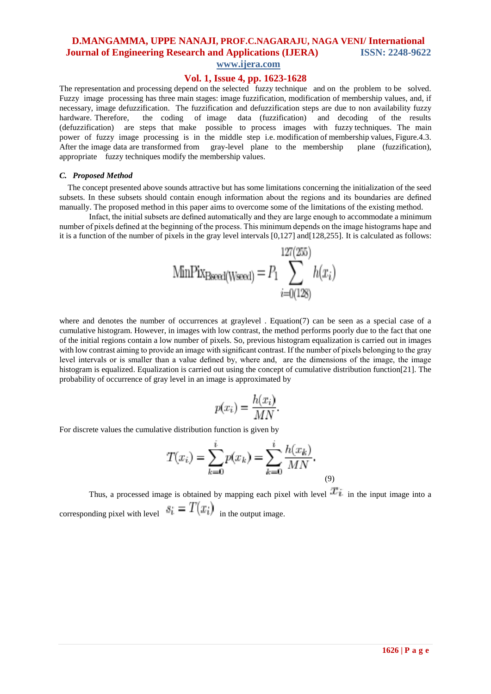## **www.ijera.com**

### **Vol. 1, Issue 4, pp. 1623-1628**

The representation and processing depend on the selected fuzzy technique and on the problem to be solved. Fuzzy image processing has three main stages: image fuzzification, modification of membership values, and, if necessary, image defuzzification. The fuzzification and defuzzification steps are due to non availability fuzzy hardware. Therefore, the coding of image data (fuzzification) and decoding of the results (defuzzification) are steps that make possible to process images with fuzzy techniques. The main power of fuzzy image processing is in the middle step i.e. modification of membership values, Figure.4.3. After the image data are transformed from gray-level plane to the membership plane (fuzzification), appropriate fuzzy techniques modify the membership values.

#### *C. Proposed Method*

The concept presented above sounds attractive but has some limitations concerning the initialization of the seed subsets. In these subsets should contain enough information about the regions and its boundaries are defined manually. The proposed method in this paper aims to overcome some of the limitations of the existing method.

Infact, the initial subsets are defined automatically and they are large enough to accommodate a minimum number of pixels defined at the beginning of the process. This minimum depends on the image histograms hape and it is a function of the number of pixels in the gray level intervals  $[0,127]$  and  $[128,255]$ . It is calculated as follows:

MinFix<sub>Bseed(Wseed</sub>) = 
$$
P_1 \sum_{i=0(128)}^{127(255)} h(x_i)
$$

and the company of the company of the company of the company of the company of the company of the company of the company of the company of the company of the company of the company of the company of the company of the comp

where and denotes the number of occurrences at graylevel . Equation(7) can be seen as a special case of a cumulative histogram. However, in images with low contrast, the method performs poorly due to the fact that one of the initial regions contain a low number of pixels. So, previous histogram equalization is carried out in images with low contrast aiming to provide an image with significant contrast. If the number of pixels belonging to the gray level intervals or is smaller than a value defined by, where and, are the dimensions of the image, the image histogram is equalized. Equalization is carried out using the concept of cumulative distribution function[21]. The probability of occurrence of gray level in an image is approximated by

$$
p(x_i) = \frac{h(x_i)}{MN}.
$$

For discrete values the cumulative distribution function is given by

$$
T(x_i) = \sum_{k=0}^{i} p(x_k) = \sum_{k=0}^{i} \frac{h(x_k)}{MN}.
$$
\n(9)

Thus, a processed image is obtained by mapping each pixel with level  $\mathcal{I}_{\ell}$  in the input image into a corresponding pixel with level  $s_i = T(x_i)$  in the output image.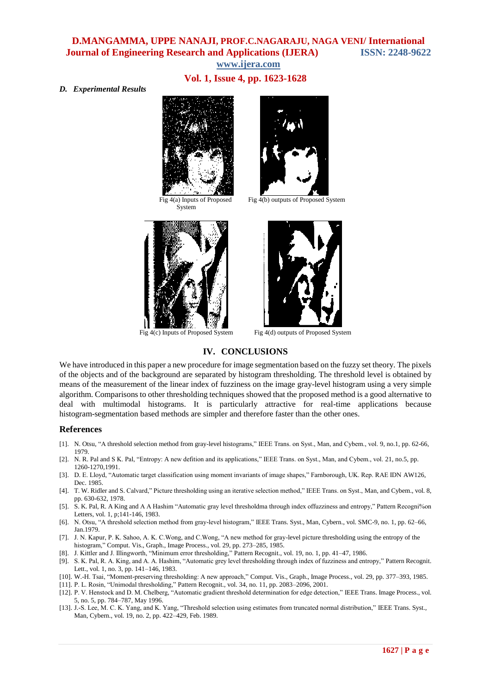# **Vol. 1, Issue 4, pp. 1623-1628**

*D. Experimental Results*



 Fig 4(a) Inputs of Proposed System





Fig 4(b) outputs of Proposed System



Fig 4(c) Inputs of Proposed System Fig 4(d) outputs of Proposed System

### **IV. CONCLUSIONS**

We have introduced in this paper a new procedure for image segmentation based on the fuzzy set theory. The pixels of the objects and of the background are separated by histogram thresholding. The threshold level is obtained by means of the measurement of the linear index of fuzziness on the image gray-level histogram using a very simple algorithm. Comparisons to other thresholding techniques showed that the proposed method is a good alternative to deal with multimodal histograms. It is particularly attractive for real-time applications because histogram-segmentation based methods are simpler and therefore faster than the other ones.

#### **References**

- [1]. N. Otsu, "A threshold selection method from gray-level histograms," IEEE Trans. on Syst., Man, and Cybem., vol. 9, no.1, pp. 62-66, 1979.
- [2]. N. R. Pal and S K. Pal, "Entropy: A new defition and its applications," IEEE Trans. on Syst., Man, and Cybem., vol. 21, no.5, pp. 1260-1270,1991.
- [3]. D. E. Lloyd, "Automatic target classification using moment invariants of image shapes," Farnborough, UK. Rep. RAE IDN AW126, Dec. 1985.
- [4]. T. W. Ridler and S. Calvard," Picture thresholding using an iterative selection method," IEEE Trans. on Syst., Man, and Cybem., vol. 8, pp. 630-632, 1978.
- [5]. S. K. Pal, R. A King and A A Hashim "Automatic gray level thresholdma through index offuzziness and entropy," Pattern Recogni%on Letters, vol. 1, p;141-146, 1983.
- [6]. N. Otsu, "A threshold selection method from gray-level histogram," IEEE Trans. Syst., Man, Cybern., vol. SMC-9, no. 1, pp. 62–66, Jan.1979.
- [7]. J. N. Kapur, P. K. Sahoo, A. K. C. Wong, and C. Wong, "A new method for gray-level picture thresholding using the entropy of the histogram," Comput. Vis., Graph., Image Process., vol. 29, pp. 273-285, 1985.
- [8]. J. Kittler and J. Illingworth, "Minimum error thresholding," Pattern Recognit., vol. 19, no. 1, pp. 41–47, 1986.
- [9]. S. K. Pal, R. A. King, and A. A. Hashim, "Automatic grey level thresholding through index of fuzziness and entropy," Pattern Recognit. Lett., vol. 1, no. 3, pp. 141–146, 1983.
- [10]. W.-H. Tsai, "Moment-preserving thresholding: A new approach," Comput. Vis., Graph., Image Process., vol. 29, pp. 377–393, 1985. [11]. P. L. Rosin, "Unimodal thresholding," Pattern Recognit., vol. 34, no. 11, pp. 2083-2096, 2001.
- [12]. P. V. Henstock and D. M. Chelberg, "Automatic gradient threshold determination for edge detection," IEEE Trans. Image Process., vol. 5, no. 5, pp. 784–787, May 1996.
- [13]. J.-S. Lee, M. C. K. Yang, and K. Yang, "Threshold selection using estimates from truncated normal distribution," IEEE Trans. Syst., Man, Cybern., vol. 19, no. 2, pp. 422–429, Feb. 1989.